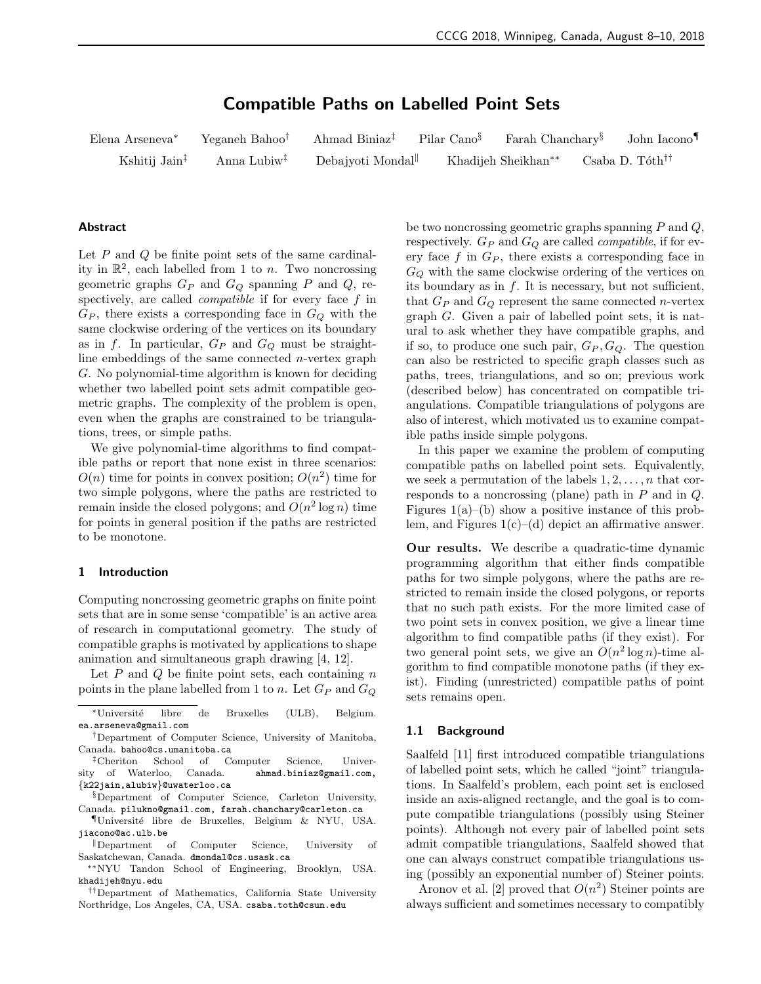| Elena Arseneva <sup>*</sup> | Yeganeh Bahoo <sup>†</sup> | Ahmad Biniaz <sup>‡</sup> | Pilar Cano $\S$ | Farah Chanchary <sup>§</sup> | John Iacono                 |
|-----------------------------|----------------------------|---------------------------|-----------------|------------------------------|-----------------------------|
| Kshitij Jain <sup>‡</sup>   | Anna Lubiw <sup>‡</sup>    | Debajyoti Mondal          |                 | Khadijeh Sheikhan**          | Csaba D. Tóth <sup>††</sup> |

# Compatible Paths on Labelled Point Sets

## Abstract

Let  $P$  and  $Q$  be finite point sets of the same cardinality in  $\mathbb{R}^2$ , each labelled from 1 to *n*. Two noncrossing geometric graphs  $G_P$  and  $G_Q$  spanning P and Q, respectively, are called *compatible* if for every face  $f$  in  $G_P$ , there exists a corresponding face in  $G_Q$  with the same clockwise ordering of the vertices on its boundary as in f. In particular,  $G_P$  and  $G_Q$  must be straightline embeddings of the same connected  $n$ -vertex graph G. No polynomial-time algorithm is known for deciding whether two labelled point sets admit compatible geometric graphs. The complexity of the problem is open, even when the graphs are constrained to be triangulations, trees, or simple paths.

We give polynomial-time algorithms to find compatible paths or report that none exist in three scenarios:  $O(n)$  time for points in convex position;  $O(n^2)$  time for two simple polygons, where the paths are restricted to remain inside the closed polygons; and  $O(n^2 \log n)$  time for points in general position if the paths are restricted to be monotone.

#### 1 Introduction

Computing noncrossing geometric graphs on finite point sets that are in some sense 'compatible' is an active area of research in computational geometry. The study of compatible graphs is motivated by applications to shape animation and simultaneous graph drawing [4, 12].

Let  $P$  and  $Q$  be finite point sets, each containing  $n$ points in the plane labelled from 1 to n. Let  $G_P$  and  $G_Q$ 

¶Universit´e libre de Bruxelles, Belgium & NYU, USA. jiacono@ac.ulb.be

∗∗NYU Tandon School of Engineering, Brooklyn, USA. khadijeh@nyu.edu

be two noncrossing geometric graphs spanning  $P$  and  $Q$ , respectively.  $G_P$  and  $G_Q$  are called *compatible*, if for every face f in  $G_P$ , there exists a corresponding face in  $G_Q$  with the same clockwise ordering of the vertices on its boundary as in  $f$ . It is necessary, but not sufficient, that  $G_P$  and  $G_Q$  represent the same connected *n*-vertex graph G. Given a pair of labelled point sets, it is natural to ask whether they have compatible graphs, and if so, to produce one such pair,  $G_P$ ,  $G_Q$ . The question can also be restricted to specific graph classes such as paths, trees, triangulations, and so on; previous work (described below) has concentrated on compatible triangulations. Compatible triangulations of polygons are also of interest, which motivated us to examine compatible paths inside simple polygons.

In this paper we examine the problem of computing compatible paths on labelled point sets. Equivalently, we seek a permutation of the labels  $1, 2, \ldots, n$  that corresponds to a noncrossing (plane) path in P and in Q. Figures  $1(a)$ –(b) show a positive instance of this problem, and Figures  $1(c)$ –(d) depict an affirmative answer.

Our results. We describe a quadratic-time dynamic programming algorithm that either finds compatible paths for two simple polygons, where the paths are restricted to remain inside the closed polygons, or reports that no such path exists. For the more limited case of two point sets in convex position, we give a linear time algorithm to find compatible paths (if they exist). For two general point sets, we give an  $O(n^2 \log n)$ -time algorithm to find compatible monotone paths (if they exist). Finding (unrestricted) compatible paths of point sets remains open.

# 1.1 Background

Saalfeld [11] first introduced compatible triangulations of labelled point sets, which he called "joint" triangulations. In Saalfeld's problem, each point set is enclosed inside an axis-aligned rectangle, and the goal is to compute compatible triangulations (possibly using Steiner points). Although not every pair of labelled point sets admit compatible triangulations, Saalfeld showed that one can always construct compatible triangulations using (possibly an exponential number of) Steiner points.

Aronov et al. [2] proved that  $O(n^2)$  Steiner points are always sufficient and sometimes necessary to compatibly

<sup>∗</sup>Universit´e libre de Bruxelles (ULB), Belgium. ea.arseneva@gmail.com

<sup>†</sup>Department of Computer Science, University of Manitoba, Canada. bahoo@cs.umanitoba.ca

<sup>‡</sup>Cheriton School of Computer Science, University of Waterloo, Canada. ahmad.biniaz@gmail.com, {k22jain,alubiw}@uwaterloo.ca

<sup>§</sup>Department of Computer Science, Carleton University, Canada. pilukno@gmail.com, farah.chanchary@carleton.ca

Department of Computer Science, University of Saskatchewan, Canada. dmondal@cs.usask.ca

<sup>††</sup>Department of Mathematics, California State University Northridge, Los Angeles, CA, USA. csaba.toth@csun.edu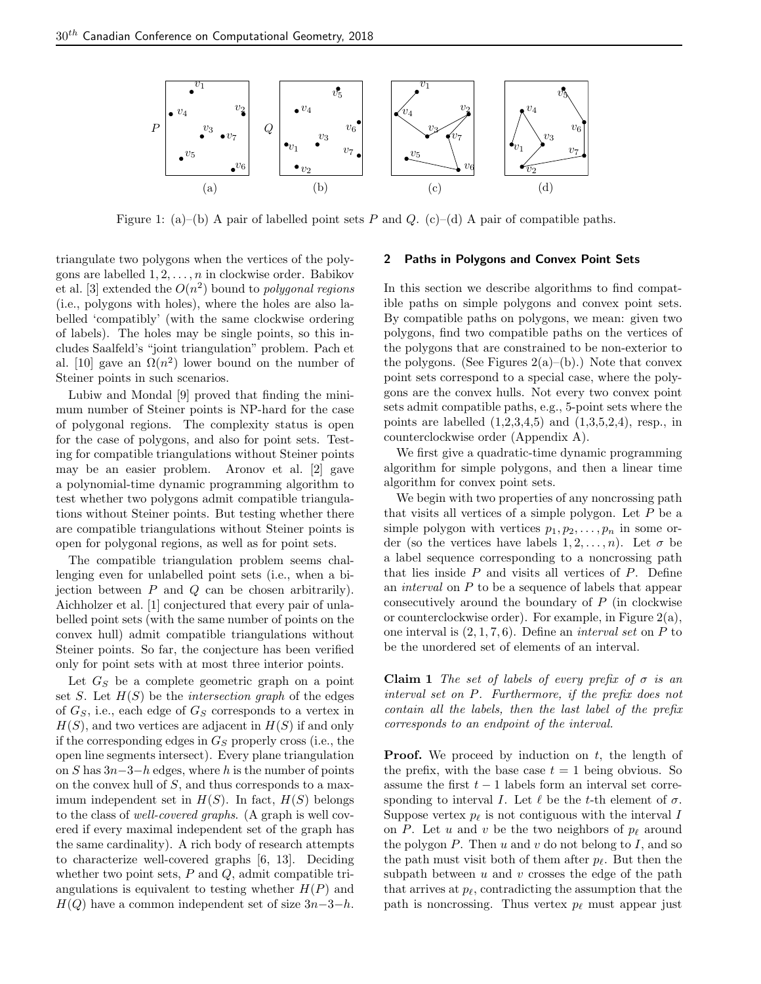

Figure 1: (a)–(b) A pair of labelled point sets P and Q. (c)–(d) A pair of compatible paths.

triangulate two polygons when the vertices of the polygons are labelled  $1, 2, \ldots, n$  in clockwise order. Babikov et al. [3] extended the  $O(n^2)$  bound to *polygonal regions* (i.e., polygons with holes), where the holes are also labelled 'compatibly' (with the same clockwise ordering of labels). The holes may be single points, so this includes Saalfeld's "joint triangulation" problem. Pach et al. [10] gave an  $\Omega(n^2)$  lower bound on the number of Steiner points in such scenarios.

Lubiw and Mondal [9] proved that finding the minimum number of Steiner points is NP-hard for the case of polygonal regions. The complexity status is open for the case of polygons, and also for point sets. Testing for compatible triangulations without Steiner points may be an easier problem. Aronov et al. [2] gave a polynomial-time dynamic programming algorithm to test whether two polygons admit compatible triangulations without Steiner points. But testing whether there are compatible triangulations without Steiner points is open for polygonal regions, as well as for point sets.

The compatible triangulation problem seems challenging even for unlabelled point sets (i.e., when a bijection between  $P$  and  $Q$  can be chosen arbitrarily). Aichholzer et al. [1] conjectured that every pair of unlabelled point sets (with the same number of points on the convex hull) admit compatible triangulations without Steiner points. So far, the conjecture has been verified only for point sets with at most three interior points.

Let  $G<sub>S</sub>$  be a complete geometric graph on a point set S. Let  $H(S)$  be the *intersection graph* of the edges of  $G<sub>S</sub>$ , i.e., each edge of  $G<sub>S</sub>$  corresponds to a vertex in  $H(S)$ , and two vertices are adjacent in  $H(S)$  if and only if the corresponding edges in  $G<sub>S</sub>$  properly cross (i.e., the open line segments intersect). Every plane triangulation on S has  $3n-3-h$  edges, where h is the number of points on the convex hull of S, and thus corresponds to a maximum independent set in  $H(S)$ . In fact,  $H(S)$  belongs to the class of well-covered graphs. (A graph is well covered if every maximal independent set of the graph has the same cardinality). A rich body of research attempts to characterize well-covered graphs [6, 13]. Deciding whether two point sets,  $P$  and  $Q$ , admit compatible triangulations is equivalent to testing whether  $H(P)$  and  $H(Q)$  have a common independent set of size  $3n-3-h$ .

### 2 Paths in Polygons and Convex Point Sets

In this section we describe algorithms to find compatible paths on simple polygons and convex point sets. By compatible paths on polygons, we mean: given two polygons, find two compatible paths on the vertices of the polygons that are constrained to be non-exterior to the polygons. (See Figures  $2(a)$ –(b).) Note that convex point sets correspond to a special case, where the polygons are the convex hulls. Not every two convex point sets admit compatible paths, e.g., 5-point sets where the points are labelled  $(1,2,3,4,5)$  and  $(1,3,5,2,4)$ , resp., in counterclockwise order (Appendix A).

We first give a quadratic-time dynamic programming algorithm for simple polygons, and then a linear time algorithm for convex point sets.

We begin with two properties of any noncrossing path that visits all vertices of a simple polygon. Let  $P$  be a simple polygon with vertices  $p_1, p_2, \ldots, p_n$  in some order (so the vertices have labels  $1, 2, \ldots, n$ ). Let  $\sigma$  be a label sequence corresponding to a noncrossing path that lies inside  $P$  and visits all vertices of  $P$ . Define an interval on P to be a sequence of labels that appear consecutively around the boundary of P (in clockwise or counterclockwise order). For example, in Figure  $2(a)$ , one interval is  $(2, 1, 7, 6)$ . Define an *interval set* on P to be the unordered set of elements of an interval.

Claim 1 The set of labels of every prefix of  $\sigma$  is an interval set on P. Furthermore, if the prefix does not contain all the labels, then the last label of the prefix corresponds to an endpoint of the interval.

**Proof.** We proceed by induction on  $t$ , the length of the prefix, with the base case  $t = 1$  being obvious. So assume the first  $t - 1$  labels form an interval set corresponding to interval I. Let  $\ell$  be the t-th element of  $\sigma$ . Suppose vertex  $p_\ell$  is not contiguous with the interval I on P. Let u and v be the two neighbors of  $p_\ell$  around the polygon  $P$ . Then  $u$  and  $v$  do not belong to  $I$ , and so the path must visit both of them after  $p_\ell$ . But then the subpath between  $u$  and  $v$  crosses the edge of the path that arrives at  $p_{\ell}$ , contradicting the assumption that the path is noncrossing. Thus vertex  $p_\ell$  must appear just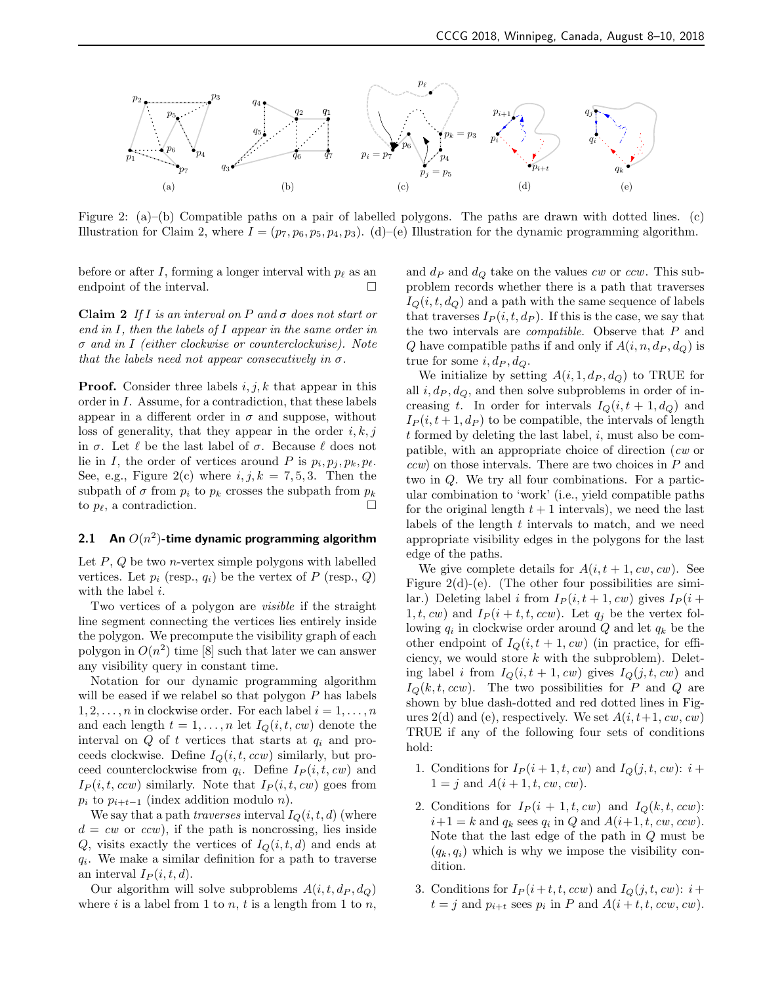

Figure 2: (a)–(b) Compatible paths on a pair of labelled polygons. The paths are drawn with dotted lines. (c) Illustration for Claim 2, where  $I = (p_7, p_6, p_5, p_4, p_3)$ . (d)–(e) Illustration for the dynamic programming algorithm.

before or after I, forming a longer interval with  $p_\ell$  as an endpoint of the interval.  $\Box$ 

Claim 2 If I is an interval on P and  $\sigma$  does not start or end in I, then the labels of I appear in the same order in σ and in I (either clockwise or counterclockwise). Note that the labels need not appear consecutively in  $\sigma$ .

**Proof.** Consider three labels  $i, j, k$  that appear in this order in I. Assume, for a contradiction, that these labels appear in a different order in  $\sigma$  and suppose, without loss of generality, that they appear in the order  $i, k, j$ in  $\sigma$ . Let  $\ell$  be the last label of  $\sigma$ . Because  $\ell$  does not lie in I, the order of vertices around P is  $p_i, p_j, p_k, p_\ell$ . See, e.g., Figure 2(c) where  $i, j, k = 7, 5, 3$ . Then the subpath of  $\sigma$  from  $p_i$  to  $p_k$  crosses the subpath from  $p_k$ to  $p_{\ell}$ , a contradiction.

# 2.1 An  $O(n^2)$ -time dynamic programming algorithm

Let  $P$ ,  $Q$  be two *n*-vertex simple polygons with labelled vertices. Let  $p_i$  (resp.,  $q_i$ ) be the vertex of P (resp., Q) with the label *i*.

Two vertices of a polygon are visible if the straight line segment connecting the vertices lies entirely inside the polygon. We precompute the visibility graph of each polygon in  $O(n^2)$  time [8] such that later we can answer any visibility query in constant time.

Notation for our dynamic programming algorithm will be eased if we relabel so that polygon  $P$  has labels  $1, 2, \ldots, n$  in clockwise order. For each label  $i = 1, \ldots, n$ and each length  $t = 1, \ldots, n$  let  $I_Q(i, t, cw)$  denote the interval on  $Q$  of t vertices that starts at  $q_i$  and proceeds clockwise. Define  $I_Q(i, t, c\alpha w)$  similarly, but proceed counterclockwise from  $q_i$ . Define  $I_P(i, t, cw)$  and  $I_P(i, t, c\alpha w)$  similarly. Note that  $I_P(i, t, c w)$  goes from  $p_i$  to  $p_{i+t-1}$  (index addition modulo *n*).

We say that a path *traverses* interval  $I_Q(i, t, d)$  (where  $d = cw$  or  $ccw$ ), if the path is noncrossing, lies inside Q, visits exactly the vertices of  $I_Q(i, t, d)$  and ends at  $q_i$ . We make a similar definition for a path to traverse an interval  $I_P(i, t, d)$ .

Our algorithm will solve subproblems  $A(i, t, dp, d<sub>O</sub>)$ where i is a label from 1 to n, t is a length from 1 to n, and  $d_P$  and  $d_Q$  take on the values cw or ccw. This subproblem records whether there is a path that traverses  $I_{\mathcal{Q}}(i, t, d_{\mathcal{Q}})$  and a path with the same sequence of labels that traverses  $I_P(i, t, d_P)$ . If this is the case, we say that the two intervals are *compatible*. Observe that  $P$  and Q have compatible paths if and only if  $A(i, n, d_P, d_Q)$  is true for some  $i, d_P, d_Q$ .

We initialize by setting  $A(i, 1, d_P, d_Q)$  to TRUE for all  $i, d_P, d_Q$ , and then solve subproblems in order of increasing t. In order for intervals  $I_O(i, t + 1, d_O)$  and  $I_P(i, t+1, d_P)$  to be compatible, the intervals of length t formed by deleting the last label,  $i$ , must also be compatible, with an appropriate choice of direction (cw or  $ccw$ ) on those intervals. There are two choices in  $P$  and two in Q. We try all four combinations. For a particular combination to 'work' (i.e., yield compatible paths for the original length  $t + 1$  intervals), we need the last labels of the length  $t$  intervals to match, and we need appropriate visibility edges in the polygons for the last edge of the paths.

We give complete details for  $A(i, t + 1, cw, cw)$ . See Figure 2(d)-(e). (The other four possibilities are similar.) Deleting label i from  $I_P(i, t+1, cw)$  gives  $I_P(i+$ 1, t, cw) and  $I_P(i+t, t, ccw)$ . Let  $q_j$  be the vertex following  $q_i$  in clockwise order around Q and let  $q_k$  be the other endpoint of  $I_Q(i, t + 1, cw)$  (in practice, for efficiency, we would store  $k$  with the subproblem). Deleting label i from  $I_Q(i, t + 1, cw)$  gives  $I_Q(j, t, cw)$  and  $I_Q(k, t, c\epsilon w)$ . The two possibilities for P and Q are shown by blue dash-dotted and red dotted lines in Figures 2(d) and (e), respectively. We set  $A(i, t+1, cw, cw)$ TRUE if any of the following four sets of conditions hold:

- 1. Conditions for  $I_P(i+1,t,cw)$  and  $I_Q(j,t,cw)$ :  $i+$  $1 = j$  and  $A(i + 1, t, cw, cw)$ .
- 2. Conditions for  $I_P(i + 1, t, cw)$  and  $I_Q(k, t, ccw)$ :  $i+1 = k$  and  $q_k$  sees  $q_i$  in Q and  $A(i+1, t, cw, ccw)$ . Note that the last edge of the path in Q must be  $(q_k, q_i)$  which is why we impose the visibility condition.
- 3. Conditions for  $I_P(i+t, t, ccw)$  and  $I_Q(j, t, cw)$ :  $i +$  $t = j$  and  $p_{i+t}$  sees  $p_i$  in P and  $A(i+t, t, ccw, cw)$ .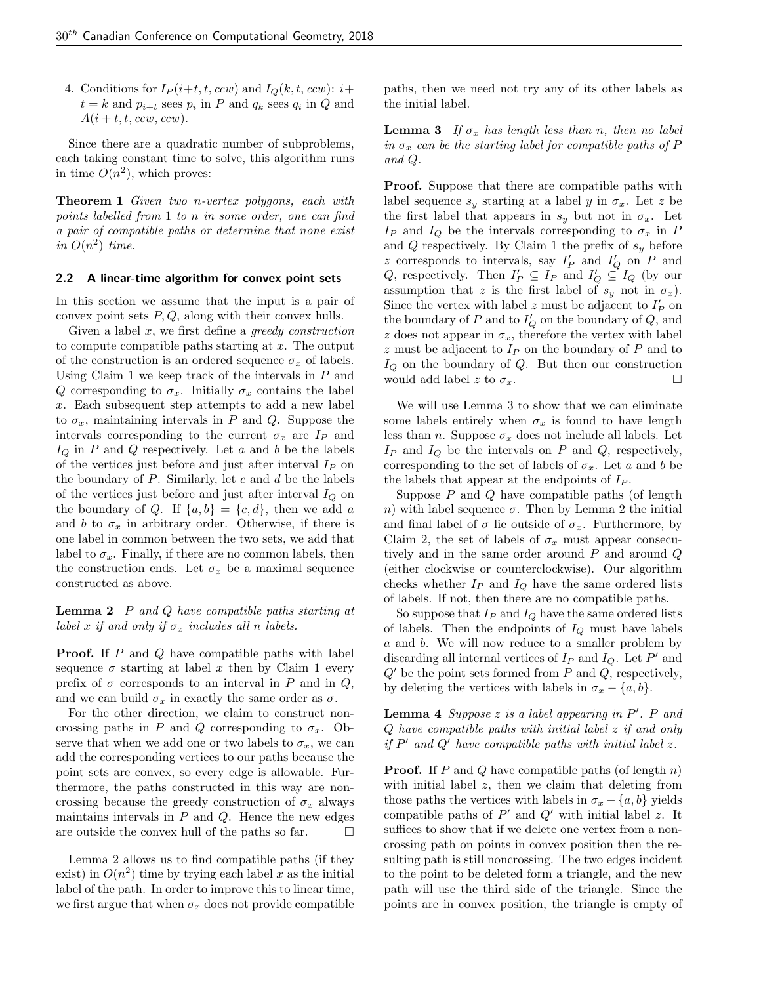4. Conditions for  $I_P(i+t, t, ccw)$  and  $I_Q(k, t, ccw)$ :  $i+$  $t = k$  and  $p_{i+t}$  sees  $p_i$  in P and  $q_k$  sees  $q_i$  in Q and  $A(i + t, t, ccw, ccw).$ 

Since there are a quadratic number of subproblems, each taking constant time to solve, this algorithm runs in time  $O(n^2)$ , which proves:

Theorem 1 Given two n-vertex polygons, each with points labelled from 1 to n in some order, one can find a pair of compatible paths or determine that none exist in  $O(n^2)$  time.

#### 2.2 A linear-time algorithm for convex point sets

In this section we assume that the input is a pair of convex point sets  $P, Q$ , along with their convex hulls.

Given a label  $x$ , we first define a *greedy construction* to compute compatible paths starting at  $x$ . The output of the construction is an ordered sequence  $\sigma_x$  of labels. Using Claim 1 we keep track of the intervals in  $P$  and Q corresponding to  $\sigma_x$ . Initially  $\sigma_x$  contains the label x. Each subsequent step attempts to add a new label to  $\sigma_x$ , maintaining intervals in P and Q. Suppose the intervals corresponding to the current  $\sigma_x$  are  $I_P$  and  $I_Q$  in  $P$  and  $Q$  respectively. Let  $a$  and  $b$  be the labels of the vertices just before and just after interval  $I_P$  on the boundary of  $P$ . Similarly, let  $c$  and  $d$  be the labels of the vertices just before and just after interval  $I_{\mathcal{Q}}$  on the boundary of Q. If  $\{a, b\} = \{c, d\}$ , then we add a and b to  $\sigma_x$  in arbitrary order. Otherwise, if there is one label in common between the two sets, we add that label to  $\sigma_x$ . Finally, if there are no common labels, then the construction ends. Let  $\sigma_x$  be a maximal sequence constructed as above.

# **Lemma 2**  $P$  and  $Q$  have compatible paths starting at label x if and only if  $\sigma_x$  includes all n labels.

**Proof.** If  $P$  and  $Q$  have compatible paths with label sequence  $\sigma$  starting at label x then by Claim 1 every prefix of  $\sigma$  corresponds to an interval in P and in Q, and we can build  $\sigma_x$  in exactly the same order as  $\sigma$ .

For the other direction, we claim to construct noncrossing paths in P and Q corresponding to  $\sigma_x$ . Observe that when we add one or two labels to  $\sigma_x$ , we can add the corresponding vertices to our paths because the point sets are convex, so every edge is allowable. Furthermore, the paths constructed in this way are noncrossing because the greedy construction of  $\sigma_x$  always maintains intervals in  $P$  and  $Q$ . Hence the new edges are outside the convex hull of the paths so far.  $\Box$ 

Lemma 2 allows us to find compatible paths (if they exist) in  $O(n^2)$  time by trying each label x as the initial label of the path. In order to improve this to linear time, we first argue that when  $\sigma_x$  does not provide compatible paths, then we need not try any of its other labels as the initial label.

**Lemma 3** If  $\sigma_x$  has length less than n, then no label in  $\sigma_x$  can be the starting label for compatible paths of P and Q.

**Proof.** Suppose that there are compatible paths with label sequence  $s_y$  starting at a label y in  $\sigma_x$ . Let z be the first label that appears in  $s_y$  but not in  $\sigma_x$ . Let  $I_P$  and  $I_Q$  be the intervals corresponding to  $\sigma_x$  in P and  $Q$  respectively. By Claim 1 the prefix of  $s_y$  before z corresponds to intervals, say  $I'_P$  and  $I'_Q$  on P and Q, respectively. Then  $I'_P \subseteq I_P$  and  $I'_Q \subseteq I_Q$  (by our assumption that z is the first label of  $s_y$  not in  $\sigma_x$ ). Since the vertex with label  $z$  must be adjacent to  $I'_P$  on the boundary of  $P$  and to  $I'_{Q}$  on the boundary of  $Q$ , and z does not appear in  $\sigma_x$ , therefore the vertex with label z must be adjacent to  $I_P$  on the boundary of P and to  $I_Q$  on the boundary of  $Q$ . But then our construction would add label z to  $\sigma_x$ .

We will use Lemma 3 to show that we can eliminate some labels entirely when  $\sigma_x$  is found to have length less than *n*. Suppose  $\sigma_x$  does not include all labels. Let  $I_P$  and  $I_Q$  be the intervals on P and Q, respectively, corresponding to the set of labels of  $\sigma_x$ . Let a and b be the labels that appear at the endpoints of  $I_P$ .

Suppose  $P$  and  $Q$  have compatible paths (of length n) with label sequence  $\sigma$ . Then by Lemma 2 the initial and final label of  $\sigma$  lie outside of  $\sigma_x$ . Furthermore, by Claim 2, the set of labels of  $\sigma_x$  must appear consecutively and in the same order around  $P$  and around  $Q$ (either clockwise or counterclockwise). Our algorithm checks whether  $I_P$  and  $I_Q$  have the same ordered lists of labels. If not, then there are no compatible paths.

So suppose that  $I_P$  and  $I_Q$  have the same ordered lists of labels. Then the endpoints of  $I_Q$  must have labels a and b. We will now reduce to a smaller problem by discarding all internal vertices of  $I_P$  and  $I_Q$ . Let  $P'$  and  $Q'$  be the point sets formed from P and Q, respectively, by deleting the vertices with labels in  $\sigma_x - \{a, b\}.$ 

**Lemma 4** Suppose  $z$  is a label appearing in  $P'$ .  $P$  and Q have compatible paths with initial label z if and only if  $P'$  and  $Q'$  have compatible paths with initial label  $z$ .

**Proof.** If P and Q have compatible paths (of length  $n$ ) with initial label  $z$ , then we claim that deleting from those paths the vertices with labels in  $\sigma_x - \{a, b\}$  yields compatible paths of  $P'$  and  $Q'$  with initial label z. It suffices to show that if we delete one vertex from a noncrossing path on points in convex position then the resulting path is still noncrossing. The two edges incident to the point to be deleted form a triangle, and the new path will use the third side of the triangle. Since the points are in convex position, the triangle is empty of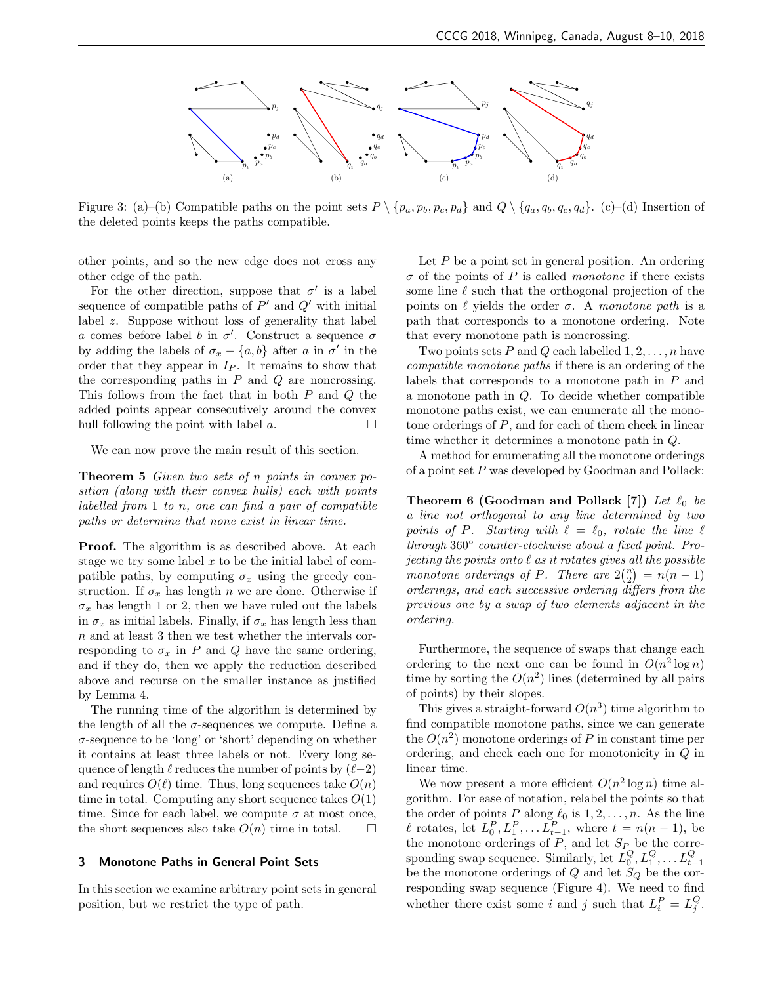

Figure 3: (a)–(b) Compatible paths on the point sets  $P \setminus \{p_a, p_b, p_c, p_d\}$  and  $Q \setminus \{q_a, q_b, q_c, q_d\}$ . (c)–(d) Insertion of the deleted points keeps the paths compatible.

other points, and so the new edge does not cross any other edge of the path.

For the other direction, suppose that  $\sigma'$  is a label sequence of compatible paths of  $P'$  and  $Q'$  with initial label z. Suppose without loss of generality that label a comes before label b in  $\sigma'$ . Construct a sequence  $\sigma$ by adding the labels of  $\sigma_x - \{a, b\}$  after a in  $\sigma'$  in the order that they appear in  $I_P$ . It remains to show that the corresponding paths in  $P$  and  $Q$  are noncrossing. This follows from the fact that in both  $P$  and  $Q$  the added points appear consecutively around the convex hull following the point with label  $a$ .  $\Box$ 

We can now prove the main result of this section.

Theorem 5 Given two sets of n points in convex position (along with their convex hulls) each with points labelled from  $1$  to  $n$ , one can find a pair of compatible paths or determine that none exist in linear time.

**Proof.** The algorithm is as described above. At each stage we try some label  $x$  to be the initial label of compatible paths, by computing  $\sigma_x$  using the greedy construction. If  $\sigma_x$  has length n we are done. Otherwise if  $\sigma_x$  has length 1 or 2, then we have ruled out the labels in  $\sigma_x$  as initial labels. Finally, if  $\sigma_x$  has length less than n and at least 3 then we test whether the intervals corresponding to  $\sigma_x$  in P and Q have the same ordering, and if they do, then we apply the reduction described above and recurse on the smaller instance as justified by Lemma 4.

The running time of the algorithm is determined by the length of all the  $\sigma$ -sequences we compute. Define a  $\sigma$ -sequence to be 'long' or 'short' depending on whether it contains at least three labels or not. Every long sequence of length  $\ell$  reduces the number of points by  $(\ell-2)$ and requires  $O(\ell)$  time. Thus, long sequences take  $O(n)$ time in total. Computing any short sequence takes  $O(1)$ time. Since for each label, we compute  $\sigma$  at most once, the short sequences also take  $O(n)$  time in total.  $\square$ 

### 3 Monotone Paths in General Point Sets

In this section we examine arbitrary point sets in general position, but we restrict the type of path.

Let  $P$  be a point set in general position. An ordering  $\sigma$  of the points of P is called *monotone* if there exists some line  $\ell$  such that the orthogonal projection of the points on  $\ell$  yields the order  $\sigma$ . A monotone path is a path that corresponds to a monotone ordering. Note that every monotone path is noncrossing.

Two points sets P and Q each labelled  $1, 2, \ldots, n$  have compatible monotone paths if there is an ordering of the labels that corresponds to a monotone path in P and a monotone path in Q. To decide whether compatible monotone paths exist, we can enumerate all the monotone orderings of P, and for each of them check in linear time whether it determines a monotone path in Q.

A method for enumerating all the monotone orderings of a point set P was developed by Goodman and Pollack:

Theorem 6 (Goodman and Pollack [7]) Let  $\ell_0$  be a line not orthogonal to any line determined by two points of P. Starting with  $\ell = \ell_0$ , rotate the line  $\ell$ through 360◦ counter-clockwise about a fixed point. Projecting the points onto  $\ell$  as it rotates gives all the possible monotone orderings of P. There are  $2{n \choose 2} = n(n-1)$ orderings, and each successive ordering differs from the previous one by a swap of two elements adjacent in the ordering.

Furthermore, the sequence of swaps that change each ordering to the next one can be found in  $O(n^2 \log n)$ time by sorting the  $O(n^2)$  lines (determined by all pairs of points) by their slopes.

This gives a straight-forward  $O(n^3)$  time algorithm to find compatible monotone paths, since we can generate the  $O(n^2)$  monotone orderings of P in constant time per ordering, and check each one for monotonicity in Q in linear time.

We now present a more efficient  $O(n^2 \log n)$  time algorithm. For ease of notation, relabel the points so that the order of points P along  $\ell_0$  is  $1, 2, \ldots, n$ . As the line l rotates, let  $L_0^P, L_1^P, \ldots, L_{t-1}^P$ , where  $t = n(n-1)$ , be the monotone orderings of  $P$ , and let  $S_P$  be the corresponding swap sequence. Similarly, let  $L_0^Q, L_1^Q, \ldots, L_{t-1}^Q$ be the monotone orderings of  $Q$  and let  $S_Q$  be the corresponding swap sequence (Figure 4). We need to find whether there exist some i and j such that  $L_i^P = L_j^Q$ .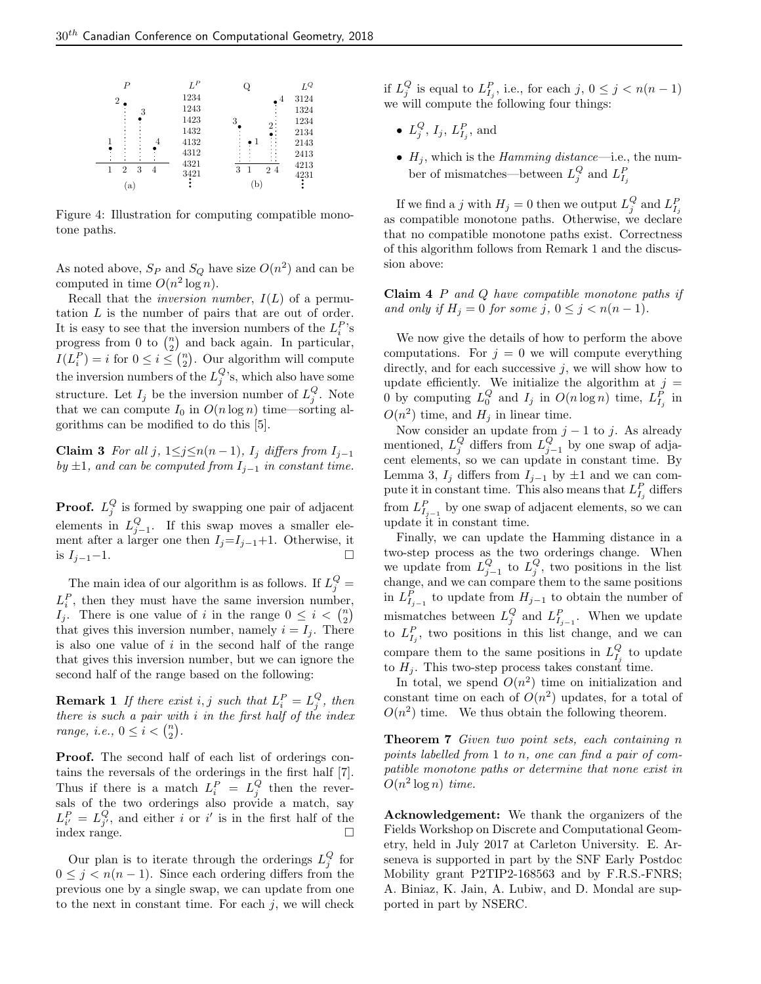

Figure 4: Illustration for computing compatible monotone paths.

As noted above,  $S_P$  and  $S_Q$  have size  $O(n^2)$  and can be computed in time  $O(n^2 \log n)$ .

Recall that the *inversion number*,  $I(L)$  of a permutation L is the number of pairs that are out of order. It is easy to see that the inversion numbers of the  $L_i^P$ 's progress from 0 to  $\binom{n}{2}$  and back again. In particular,  $I(L_i^P) = i$  for  $0 \leq i \leq {n \choose 2}$ . Our algorithm will compute the inversion numbers of the  $L_j^Q$ 's, which also have some structure. Let  $I_j$  be the inversion number of  $L_j^Q$ . Note that we can compute  $I_0$  in  $O(n \log n)$  time—sorting algorithms can be modified to do this [5].

Claim 3 For all j,  $1 \leq j \leq n(n-1)$ ,  $I_j$  differs from  $I_{j-1}$ by  $\pm 1$ , and can be computed from  $I_{j-1}$  in constant time.

**Proof.**  $L_j^Q$  is formed by swapping one pair of adjacent elements in  $L_{j-1}^Q$ . If this swap moves a smaller element after a larger one then  $I_j=I_{j-1}+1$ . Otherwise, it is  $I_{j-1}-1$ .

The main idea of our algorithm is as follows. If  $L_j^Q =$  $L_i^P$ , then they must have the same inversion number,  $I_j$ . There is one value of i in the range  $0 \leq i \leq {n \choose 2}$ that gives this inversion number, namely  $i = I_i$ . There is also one value of  $i$  in the second half of the range that gives this inversion number, but we can ignore the second half of the range based on the following:

**Remark 1** If there exist i, j such that  $L_i^P = L_j^Q$ , then there is such a pair with i in the first half of the index range, *i.e.*,  $0 \leq i < \binom{n}{2}$ .

Proof. The second half of each list of orderings contains the reversals of the orderings in the first half [7]. Thus if there is a match  $L_i^P = L_j^Q$  then the reversals of the two orderings also provide a match, say  $L_{i'}^P = L_{j'}^Q$ , and either i or i' is in the first half of the index range.

Our plan is to iterate through the orderings  $L_j^Q$  for  $0 \leq j < n(n-1)$ . Since each ordering differs from the previous one by a single swap, we can update from one to the next in constant time. For each  $j$ , we will check

if  $L_j^Q$  is equal to  $L_{I_j}^P$ , i.e., for each  $j, 0 \le j < n(n-1)$ we will compute the following four things:

- $L_j^Q$ ,  $I_j$ ,  $L_{I_j}^P$ , and
- $H_j$ , which is the *Hamming distance*—i.e., the number of mismatches—between  $L_j^Q$  and  $L_{I_j}^P$

If we find a j with  $H_j = 0$  then we output  $L_j^Q$  and  $L_{I_j}^P$ as compatible monotone paths. Otherwise, we declare that no compatible monotone paths exist. Correctness of this algorithm follows from Remark 1 and the discussion above:

Claim 4 P and Q have compatible monotone paths if and only if  $H_i = 0$  for some j,  $0 \leq j < n(n-1)$ .

We now give the details of how to perform the above computations. For  $j = 0$  we will compute everything directly, and for each successive  $j$ , we will show how to update efficiently. We initialize the algorithm at  $j =$ 0 by computing  $L_0^Q$  and  $I_j$  in  $O(n \log n)$  time,  $L_{I_j}^P$  in  $O(n^2)$  time, and  $H_j$  in linear time.

Now consider an update from  $j - 1$  to j. As already mentioned,  $L_j^Q$  differs from  $L_{j-1}^Q$  by one swap of adjacent elements, so we can update in constant time. By Lemma 3,  $I_j$  differs from  $I_{j-1}$  by  $\pm 1$  and we can compute it in constant time. This also means that  $L_{I_j}^P$  differs from  $L_{I_{j-1}}^P$  by one swap of adjacent elements, so we can update it in constant time.

Finally, we can update the Hamming distance in a two-step process as the two orderings change. When we update from  $L_{j-1}^Q$  to  $L_j^Q$ , two positions in the list change, and we can compare them to the same positions in  $L_{I_{j-1}}^P$  to update from  $H_{j-1}$  to obtain the number of mismatches between  $L_j^Q$  and  $L_{I_{j-1}}^P$ . When we update to  $L_{I_j}^P$ , two positions in this list change, and we can compare them to the same positions in  $L_{I_j}^Q$  to update to  $H_j$ . This two-step process takes constant time.

In total, we spend  $O(n^2)$  time on initialization and constant time on each of  $O(n^2)$  updates, for a total of  $O(n^2)$  time. We thus obtain the following theorem.

Theorem 7 Given two point sets, each containing n points labelled from 1 to n, one can find a pair of compatible monotone paths or determine that none exist in  $O(n^2 \log n)$  time.

Acknowledgement: We thank the organizers of the Fields Workshop on Discrete and Computational Geometry, held in July 2017 at Carleton University. E. Arseneva is supported in part by the SNF Early Postdoc Mobility grant P2TIP2-168563 and by F.R.S.-FNRS; A. Biniaz, K. Jain, A. Lubiw, and D. Mondal are supported in part by NSERC.